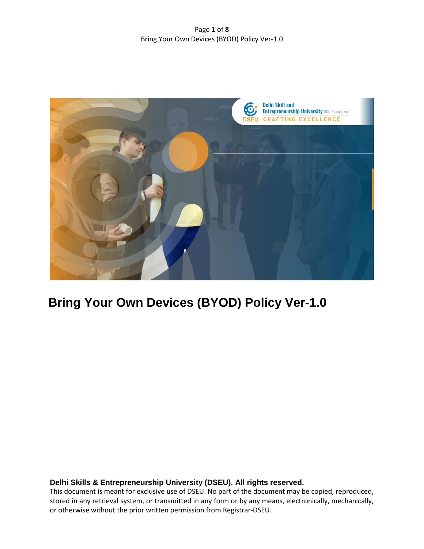Page **1** of **8** Bring Your Own Devices (BYOD) Policy Ver-1.0



# **Bring Your Own Devices (BYOD) Policy Ver-1.0**

# **Delhi Skills & Entrepreneurship University (DSEU). All rights reserved.**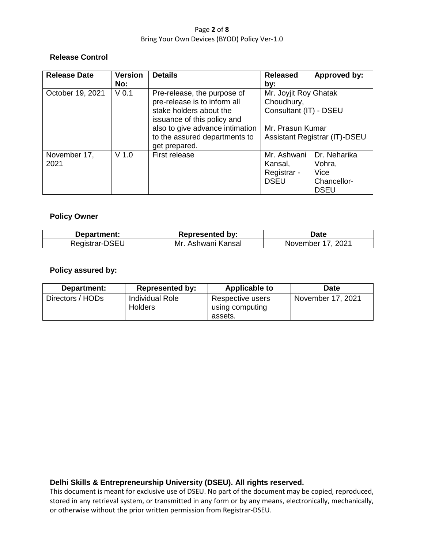### Page **2** of **8** Bring Your Own Devices (BYOD) Policy Ver-1.0

# **Release Control**

| <b>Release Date</b> | <b>Version</b>   | <b>Details</b>                                         | <b>Released</b>               | Approved by: |
|---------------------|------------------|--------------------------------------------------------|-------------------------------|--------------|
|                     | No:              |                                                        | by:                           |              |
| October 19, 2021    | V <sub>0.1</sub> | Pre-release, the purpose of                            | Mr. Joyjit Roy Ghatak         |              |
|                     |                  | pre-release is to inform all                           | Choudhury,                    |              |
|                     |                  | stake holders about the<br>issuance of this policy and | Consultant (IT) - DSEU        |              |
|                     |                  | also to give advance intimation                        | Mr. Prasun Kumar              |              |
|                     |                  | to the assured departments to<br>get prepared.         | Assistant Registrar (IT)-DSEU |              |
| November 17,        | $V$ 1.0          | First release                                          | Mr. Ashwani                   | Dr. Neharika |
| 2021                |                  |                                                        | Kansal,                       | Vohra,       |
|                     |                  |                                                        | Registrar -                   | Vice         |
|                     |                  |                                                        | <b>DSEU</b>                   | Chancellor-  |
|                     |                  |                                                        |                               | <b>DSEU</b>  |

# **Policy Owner**

| Department:    | <b>Represented by:</b>  | Date                |
|----------------|-------------------------|---------------------|
| Registrar-DSEU | Mr.<br>. Ashwani Kansal | 2021<br>November 17 |

# **Policy assured by:**

| Department:      | <b>Represented by:</b>                   | <b>Applicable to</b>                           | <b>Date</b>       |
|------------------|------------------------------------------|------------------------------------------------|-------------------|
| Directors / HODs | <b>Individual Role</b><br><b>Holders</b> | Respective users<br>using computing<br>assets. | November 17, 2021 |

# **Delhi Skills & Entrepreneurship University (DSEU). All rights reserved.**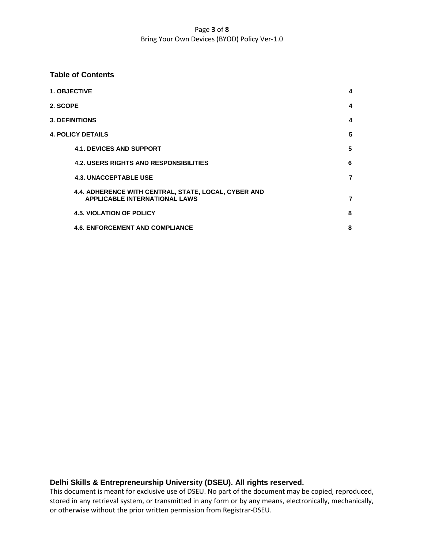### Page **3** of **8** Bring Your Own Devices (BYOD) Policy Ver-1.0

### **Table of Contents**

|          | <b>1. OBJECTIVE</b>                                                                          | 4              |
|----------|----------------------------------------------------------------------------------------------|----------------|
| 2. SCOPE |                                                                                              | 4              |
|          | <b>3. DEFINITIONS</b>                                                                        | 4              |
|          | <b>4. POLICY DETAILS</b>                                                                     | 5              |
|          | <b>4.1. DEVICES AND SUPPORT</b>                                                              | 5              |
|          | <b>4.2. USERS RIGHTS AND RESPONSIBILITIES</b>                                                | 6              |
|          | <b>4.3. UNACCEPTABLE USE</b>                                                                 | $\overline{7}$ |
|          | 4.4. ADHERENCE WITH CENTRAL, STATE, LOCAL, CYBER AND<br><b>APPLICABLE INTERNATIONAL LAWS</b> | 7              |
|          | <b>4.5. VIOLATION OF POLICY</b>                                                              | 8              |
|          | <b>4.6. ENFORCEMENT AND COMPLIANCE</b>                                                       | 8              |

# **Delhi Skills & Entrepreneurship University (DSEU). All rights reserved.**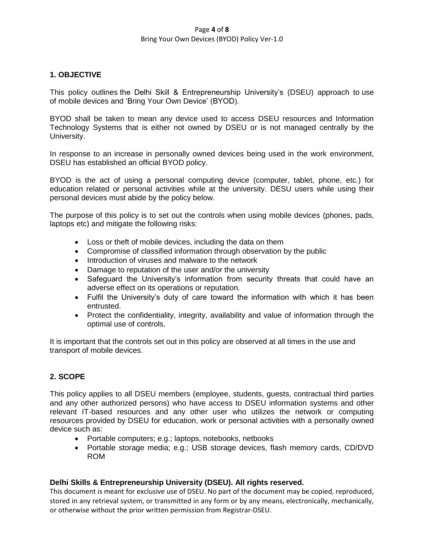#### Page **4** of **8** Bring Your Own Devices (BYOD) Policy Ver-1.0

# **1. OBJECTIVE**

This policy outlines the Delhi Skill & Entrepreneurship University"s (DSEU) approach to use of mobile devices and "Bring Your Own Device" (BYOD).

BYOD shall be taken to mean any device used to access DSEU resources and Information Technology Systems that is either not owned by DSEU or is not managed centrally by the University.

In response to an increase in personally owned devices being used in the work environment, DSEU has established an official BYOD policy.

BYOD is the act of using a personal computing device (computer, tablet, phone, etc.) for education related or personal activities while at the university. DESU users while using their personal devices must abide by the policy below.

The purpose of this policy is to set out the controls when using mobile devices (phones, pads, laptops etc) and mitigate the following risks:

- Loss or theft of mobile devices, including the data on them
- Compromise of classified information through observation by the public
- Introduction of viruses and malware to the network
- Damage to reputation of the user and/or the university
- Safeguard the University's information from security threats that could have an adverse effect on its operations or reputation.
- Fulfil the University's duty of care toward the information with which it has been entrusted.
- Protect the confidentiality, integrity, availability and value of information through the optimal use of controls.

It is important that the controls set out in this policy are observed at all times in the use and transport of mobile devices.

# **2. SCOPE**

This policy applies to all DSEU members (employee, students, guests, contractual third parties and any other authorized persons) who have access to DSEU information systems and other relevant IT-based resources and any other user who utilizes the network or computing resources provided by DSEU for education, work or personal activities with a personally owned device such as:

- Portable computers; e.g.; laptops, notebooks, netbooks
- Portable storage media; e.g.; USB storage devices, flash memory cards, CD/DVD ROM

# **Delhi Skills & Entrepreneurship University (DSEU). All rights reserved.**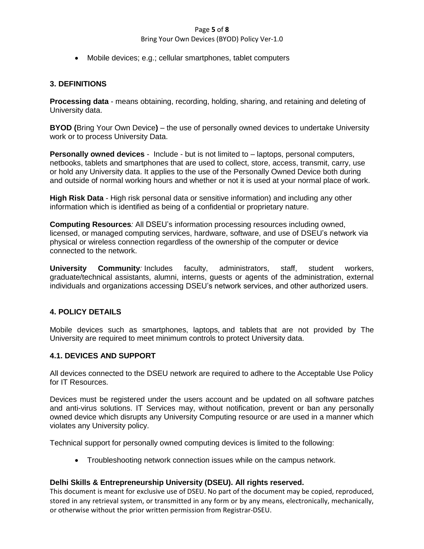### Page **5** of **8**

### Bring Your Own Devices (BYOD) Policy Ver-1.0

Mobile devices; e.g.; cellular smartphones, tablet computers

# **3. DEFINITIONS**

**Processing data** - means obtaining, recording, holding, sharing, and retaining and deleting of University data.

**BYOD (**Bring Your Own Device**)** – the use of personally owned devices to undertake University work or to process University Data.

**Personally owned devices** - Include - but is not limited to – laptops, personal computers, netbooks, tablets and smartphones that are used to collect, store, access, transmit, carry, use or hold any University data. It applies to the use of the Personally Owned Device both during and outside of normal working hours and whether or not it is used at your normal place of work.

**High Risk Data** - High risk personal data or sensitive information) and including any other information which is identified as being of a confidential or proprietary nature.

**Computing Resources***:* All DSEU"s information processing resources including owned, licensed, or managed computing services, hardware, software, and use of DSEU"s network via physical or wireless connection regardless of the ownership of the computer or device connected to the network.

**University Community***:* Includes faculty, administrators, staff, student workers, graduate/technical assistants, alumni, interns, guests or agents of the administration, external individuals and organizations accessing DSEU"s network services, and other authorized users.

# **4. POLICY DETAILS**

Mobile devices such as smartphones, laptops, and tablets that are not provided by The University are required to meet minimum controls to protect University data.

# **4.1. DEVICES AND SUPPORT**

All devices connected to the DSEU network are required to adhere to the Acceptable Use Policy for IT Resources.

Devices must be registered under the users account and be updated on all software patches and anti-virus solutions. IT Services may, without notification, prevent or ban any personally owned device which disrupts any University Computing resource or are used in a manner which violates any University policy.

Technical support for personally owned computing devices is limited to the following:

Troubleshooting network connection issues while on the campus network.

# **Delhi Skills & Entrepreneurship University (DSEU). All rights reserved.**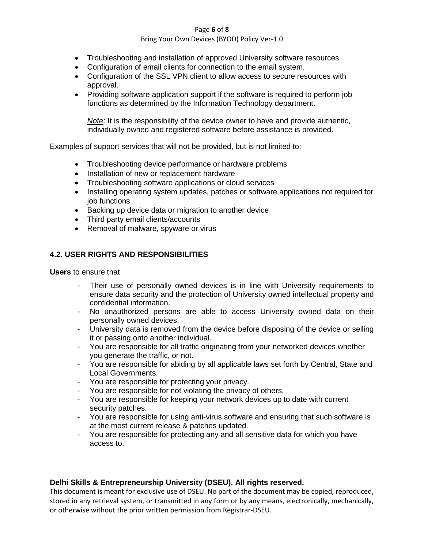#### Page **6** of **8**

### Bring Your Own Devices (BYOD) Policy Ver-1.0

- Troubleshooting and installation of approved University software resources.
- Configuration of email clients for connection to the email system.
- Configuration of the SSL VPN client to allow access to secure resources with approval.
- Providing software application support if the software is required to perform job functions as determined by the Information Technology department.

*Note*: It is the responsibility of the device owner to have and provide authentic, individually owned and registered software before assistance is provided.

Examples of support services that will not be provided, but is not limited to:

- Troubleshooting device performance or hardware problems
- Installation of new or replacement hardware
- Troubleshooting software applications or cloud services
- Installing operating system updates, patches or software applications not required for job functions
- Backing up device data or migration to another device
- Third party email clients/accounts
- Removal of malware, spyware or virus

# **4.2. USER RIGHTS AND RESPONSIBILITIES**

**Users** to ensure that

- Their use of personally owned devices is in line with University requirements to ensure data security and the protection of University owned intellectual property and confidential information.
- No unauthorized persons are able to access University owned data on their personally owned devices.
- University data is removed from the device before disposing of the device or selling it or passing onto another individual.
- You are responsible for all traffic originating from your networked devices whether you generate the traffic, or not.
- You are responsible for abiding by all applicable laws set forth by Central, State and Local Governments.
- You are responsible for protecting your privacy.
- You are responsible for not violating the privacy of others.
- You are responsible for keeping your network devices up to date with current security patches.
- You are responsible for using anti-virus software and ensuring that such software is at the most current release & patches updated.
- You are responsible for protecting any and all sensitive data for which you have access to.

# **Delhi Skills & Entrepreneurship University (DSEU). All rights reserved.**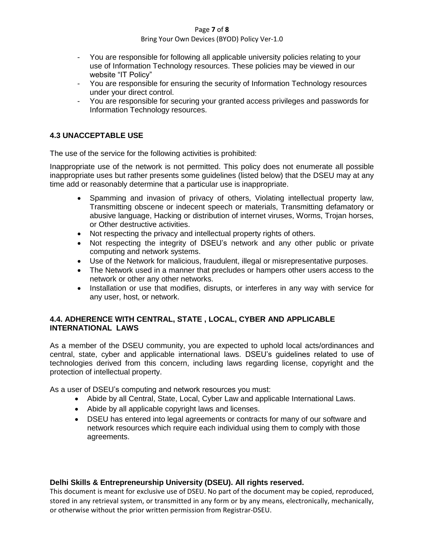### Page **7** of **8**

### Bring Your Own Devices (BYOD) Policy Ver-1.0

- You are responsible for following all applicable university policies relating to your use of Information Technology resources. These policies may be viewed in our website "IT Policy"
- You are responsible for ensuring the security of Information Technology resources under your direct control.
- You are responsible for securing your granted access privileges and passwords for Information Technology resources.

# **4.3 UNACCEPTABLE USE**

The use of the service for the following activities is prohibited:

Inappropriate use of the network is not permitted. This policy does not enumerate all possible inappropriate uses but rather presents some guidelines (listed below) that the DSEU may at any time add or reasonably determine that a particular use is inappropriate.

- Spamming and invasion of privacy of others, Violating intellectual property law, Transmitting obscene or indecent speech or materials, Transmitting defamatory or abusive language, Hacking or distribution of internet viruses, Worms, Trojan horses, or Other destructive activities.
- Not respecting the privacy and intellectual property rights of others.
- Not respecting the integrity of DSEU's network and any other public or private computing and network systems.
- Use of the Network for malicious, fraudulent, illegal or misrepresentative purposes.
- The Network used in a manner that precludes or hampers other users access to the network or other any other networks.
- Installation or use that modifies, disrupts, or interferes in any way with service for any user, host, or network.

# **4.4. ADHERENCE WITH CENTRAL, STATE , LOCAL, CYBER AND APPLICABLE INTERNATIONAL LAWS**

As a member of the DSEU community, you are expected to uphold local acts/ordinances and central, state, cyber and applicable international laws. DSEU"s guidelines related to use of technologies derived from this concern, including laws regarding license, copyright and the protection of intellectual property.

As a user of DSEU's computing and network resources you must:

- Abide by all Central, State, Local, Cyber Law and applicable International Laws.
- Abide by all applicable copyright laws and licenses.
- DSEU has entered into legal agreements or contracts for many of our software and network resources which require each individual using them to comply with those agreements.

# **Delhi Skills & Entrepreneurship University (DSEU). All rights reserved.**